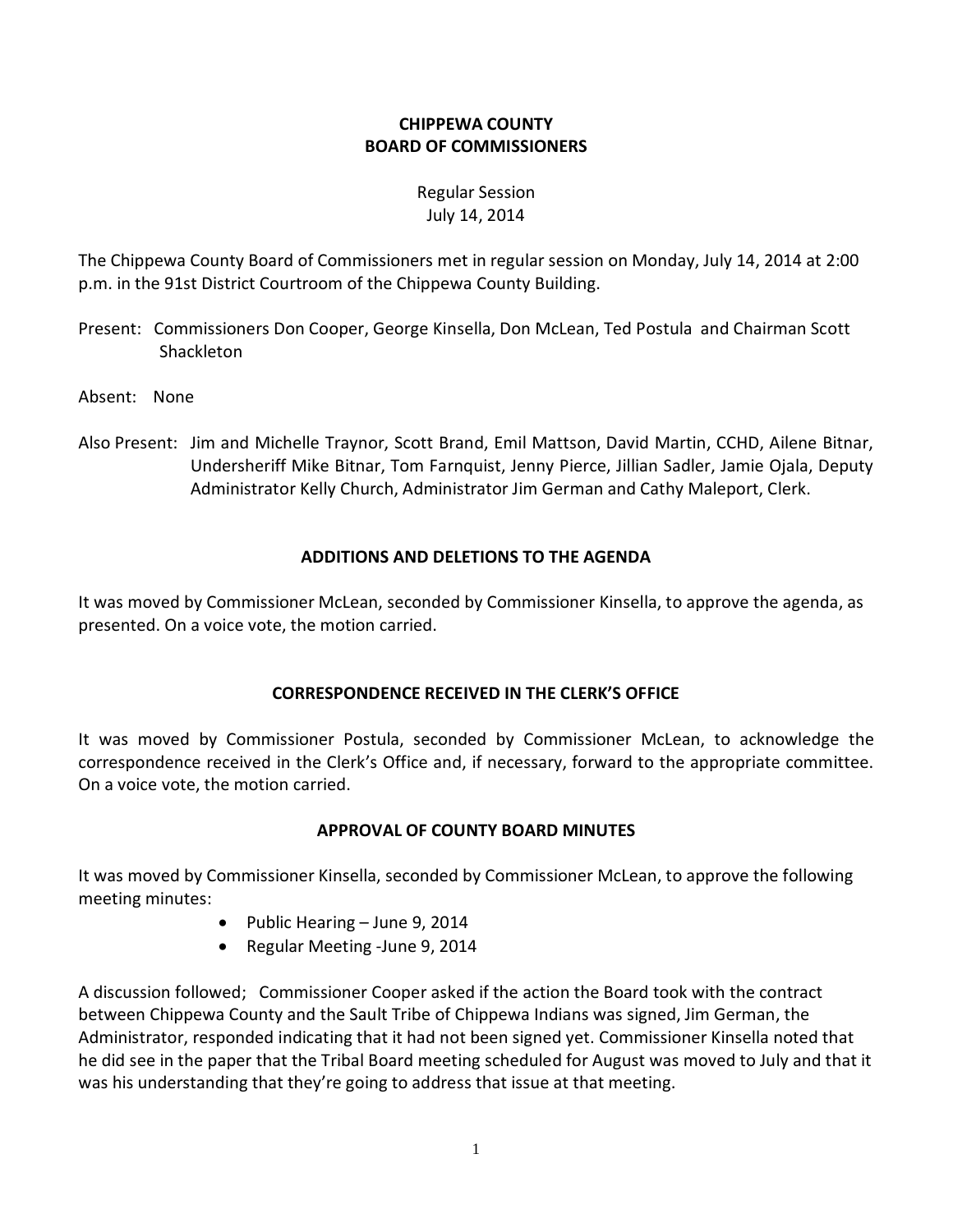# **CHIPPEWA COUNTY BOARD OF COMMISSIONERS**

# Regular Session July 14, 2014

The Chippewa County Board of Commissioners met in regular session on Monday, July 14, 2014 at 2:00 p.m. in the 91st District Courtroom of the Chippewa County Building.

- Present: Commissioners Don Cooper, George Kinsella, Don McLean, Ted Postula and Chairman Scott Shackleton
- Absent: None
- Also Present: Jim and Michelle Traynor, Scott Brand, Emil Mattson, David Martin, CCHD, Ailene Bitnar, Undersheriff Mike Bitnar, Tom Farnquist, Jenny Pierce, Jillian Sadler, Jamie Ojala, Deputy Administrator Kelly Church, Administrator Jim German and Cathy Maleport, Clerk.

# **ADDITIONS AND DELETIONS TO THE AGENDA**

It was moved by Commissioner McLean, seconded by Commissioner Kinsella, to approve the agenda, as presented. On a voice vote, the motion carried.

## **CORRESPONDENCE RECEIVED IN THE CLERK'S OFFICE**

It was moved by Commissioner Postula, seconded by Commissioner McLean, to acknowledge the correspondence received in the Clerk's Office and, if necessary, forward to the appropriate committee. On a voice vote, the motion carried.

# **APPROVAL OF COUNTY BOARD MINUTES**

It was moved by Commissioner Kinsella, seconded by Commissioner McLean, to approve the following meeting minutes:

- Public Hearing June 9, 2014
- · Regular Meeting -June 9, 2014

A discussion followed; Commissioner Cooper asked if the action the Board took with the contract between Chippewa County and the Sault Tribe of Chippewa Indians was signed, Jim German, the Administrator, responded indicating that it had not been signed yet. Commissioner Kinsella noted that he did see in the paper that the Tribal Board meeting scheduled for August was moved to July and that it was his understanding that they're going to address that issue at that meeting.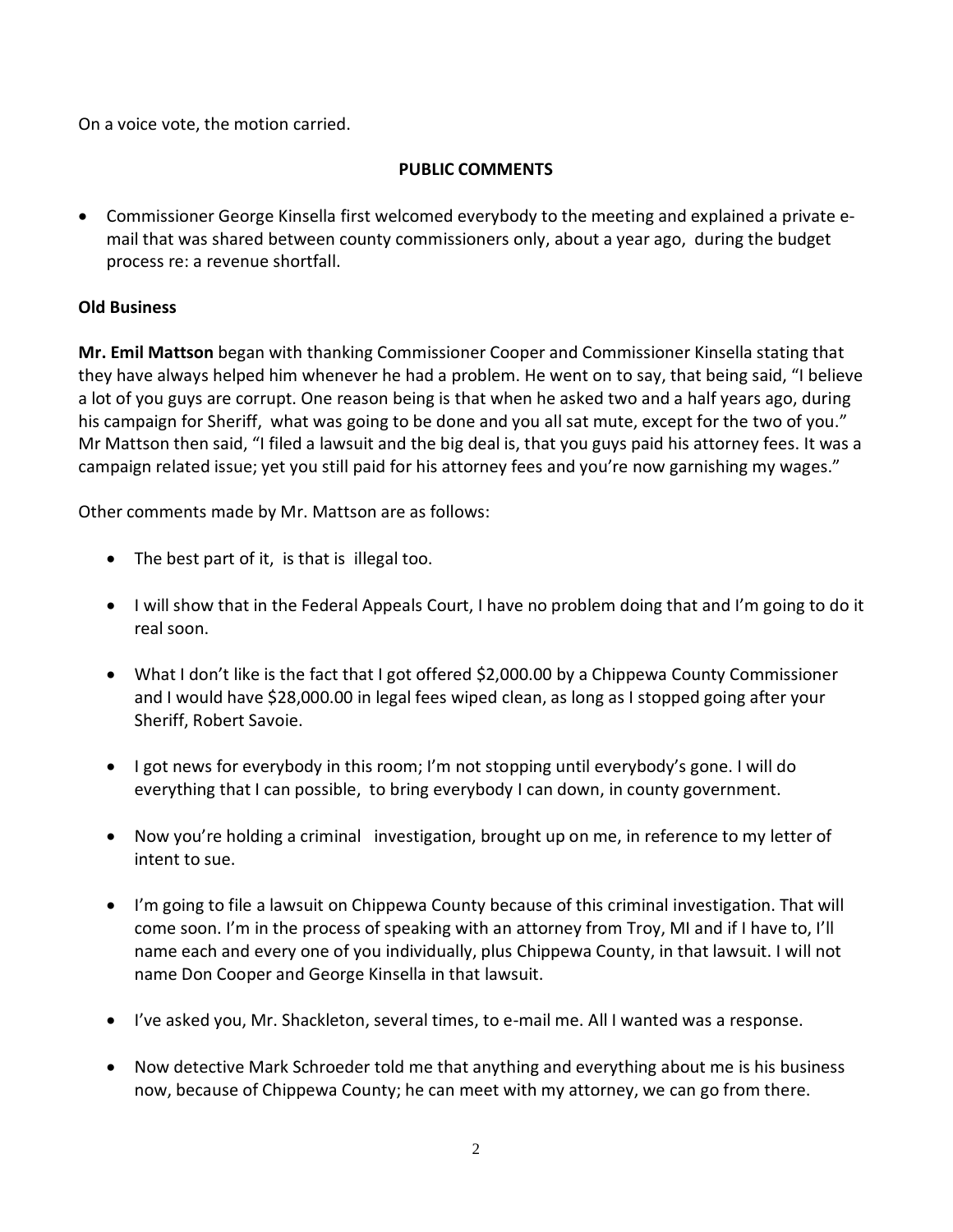On a voice vote, the motion carried.

## **PUBLIC COMMENTS**

· Commissioner George Kinsella first welcomed everybody to the meeting and explained a private email that was shared between county commissioners only, about a year ago, during the budget process re: a revenue shortfall.

# **Old Business**

**Mr. Emil Mattson** began with thanking Commissioner Cooper and Commissioner Kinsella stating that they have always helped him whenever he had a problem. He went on to say, that being said, "I believe a lot of you guys are corrupt. One reason being is that when he asked two and a half years ago, during his campaign for Sheriff, what was going to be done and you all sat mute, except for the two of you." Mr Mattson then said, "I filed a lawsuit and the big deal is, that you guys paid his attorney fees. It was a campaign related issue; yet you still paid for his attorney fees and you're now garnishing my wages."

Other comments made by Mr. Mattson are as follows:

- · The best part of it, is that is illegal too.
- · I will show that in the Federal Appeals Court, I have no problem doing that and I'm going to do it real soon.
- What I don't like is the fact that I got offered \$2,000.00 by a Chippewa County Commissioner and I would have \$28,000.00 in legal fees wiped clean, as long as I stopped going after your Sheriff, Robert Savoie.
- · I got news for everybody in this room; I'm not stopping until everybody's gone. I will do everything that I can possible, to bring everybody I can down, in county government.
- · Now you're holding a criminal investigation, brought up on me, in reference to my letter of intent to sue.
- · I'm going to file a lawsuit on Chippewa County because of this criminal investigation. That will come soon. I'm in the process of speaking with an attorney from Troy, MI and if I have to, I'll name each and every one of you individually, plus Chippewa County, in that lawsuit. I will not name Don Cooper and George Kinsella in that lawsuit.
- · I've asked you, Mr. Shackleton, several times, to e-mail me. All I wanted was a response.
- Now detective Mark Schroeder told me that anything and everything about me is his business now, because of Chippewa County; he can meet with my attorney, we can go from there.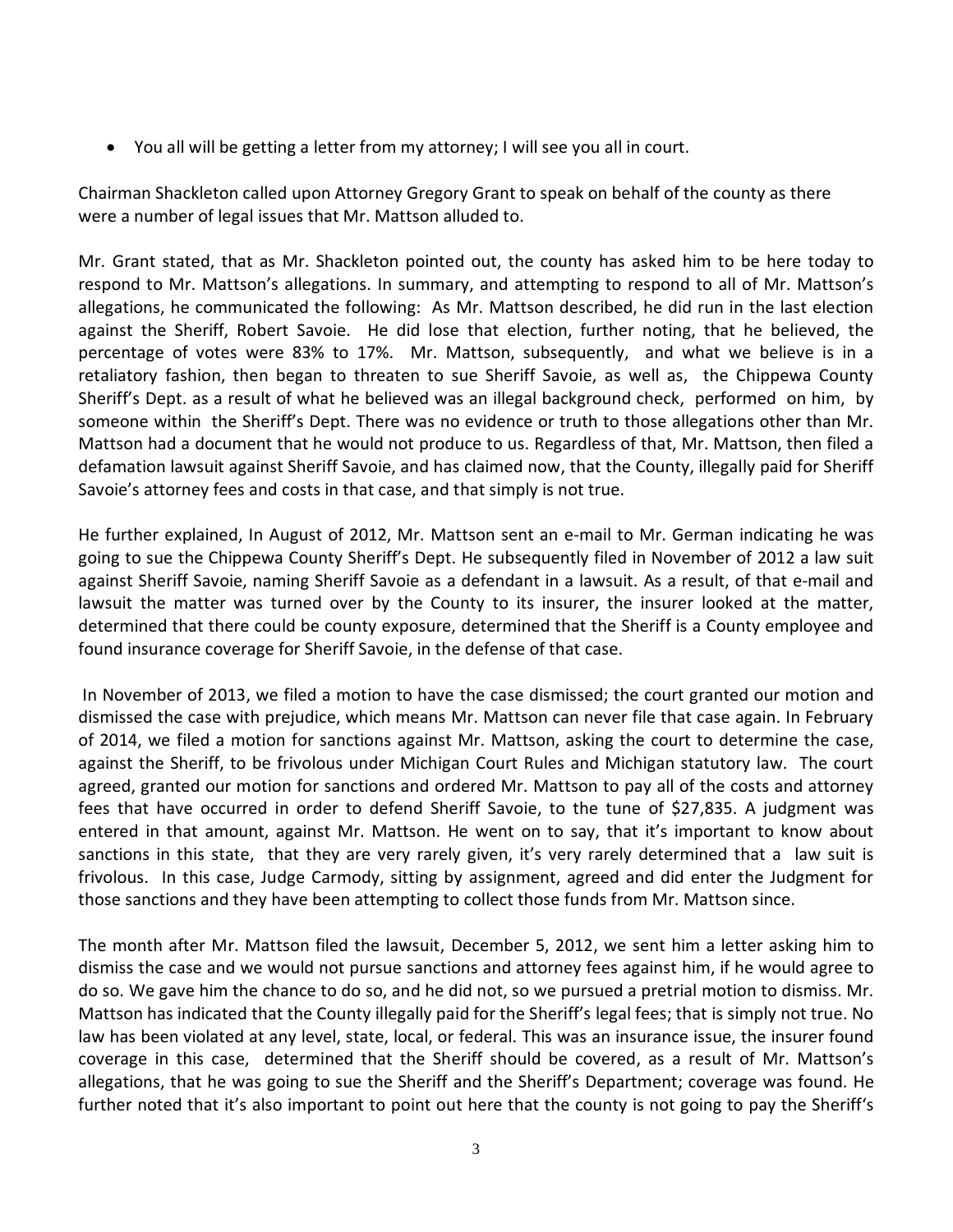· You all will be getting a letter from my attorney; I will see you all in court.

Chairman Shackleton called upon Attorney Gregory Grant to speak on behalf of the county as there were a number of legal issues that Mr. Mattson alluded to.

Mr. Grant stated, that as Mr. Shackleton pointed out, the county has asked him to be here today to respond to Mr. Mattson's allegations. In summary, and attempting to respond to all of Mr. Mattson's allegations, he communicated the following: As Mr. Mattson described, he did run in the last election against the Sheriff, Robert Savoie. He did lose that election, further noting, that he believed, the percentage of votes were 83% to 17%. Mr. Mattson, subsequently, and what we believe is in a retaliatory fashion, then began to threaten to sue Sheriff Savoie, as well as, the Chippewa County Sheriff's Dept. as a result of what he believed was an illegal background check, performed on him, by someone within the Sheriff's Dept. There was no evidence or truth to those allegations other than Mr. Mattson had a document that he would not produce to us. Regardless of that, Mr. Mattson, then filed a defamation lawsuit against Sheriff Savoie, and has claimed now, that the County, illegally paid for Sheriff Savoie's attorney fees and costs in that case, and that simply is not true.

He further explained, In August of 2012, Mr. Mattson sent an e-mail to Mr. German indicating he was going to sue the Chippewa County Sheriff's Dept. He subsequently filed in November of 2012 a law suit against Sheriff Savoie, naming Sheriff Savoie as a defendant in a lawsuit. As a result, of that e-mail and lawsuit the matter was turned over by the County to its insurer, the insurer looked at the matter, determined that there could be county exposure, determined that the Sheriff is a County employee and found insurance coverage for Sheriff Savoie, in the defense of that case.

In November of 2013, we filed a motion to have the case dismissed; the court granted our motion and dismissed the case with prejudice, which means Mr. Mattson can never file that case again. In February of 2014, we filed a motion for sanctions against Mr. Mattson, asking the court to determine the case, against the Sheriff, to be frivolous under Michigan Court Rules and Michigan statutory law. The court agreed, granted our motion for sanctions and ordered Mr. Mattson to pay all of the costs and attorney fees that have occurred in order to defend Sheriff Savoie, to the tune of \$27,835. A judgment was entered in that amount, against Mr. Mattson. He went on to say, that it's important to know about sanctions in this state, that they are very rarely given, it's very rarely determined that a law suit is frivolous. In this case, Judge Carmody, sitting by assignment, agreed and did enter the Judgment for those sanctions and they have been attempting to collect those funds from Mr. Mattson since.

The month after Mr. Mattson filed the lawsuit, December 5, 2012, we sent him a letter asking him to dismiss the case and we would not pursue sanctions and attorney fees against him, if he would agree to do so. We gave him the chance to do so, and he did not, so we pursued a pretrial motion to dismiss. Mr. Mattson has indicated that the County illegally paid for the Sheriff's legal fees; that is simply not true. No law has been violated at any level, state, local, or federal. This was an insurance issue, the insurer found coverage in this case, determined that the Sheriff should be covered, as a result of Mr. Mattson's allegations, that he was going to sue the Sheriff and the Sheriff's Department; coverage was found. He further noted that it's also important to point out here that the county is not going to pay the Sheriff's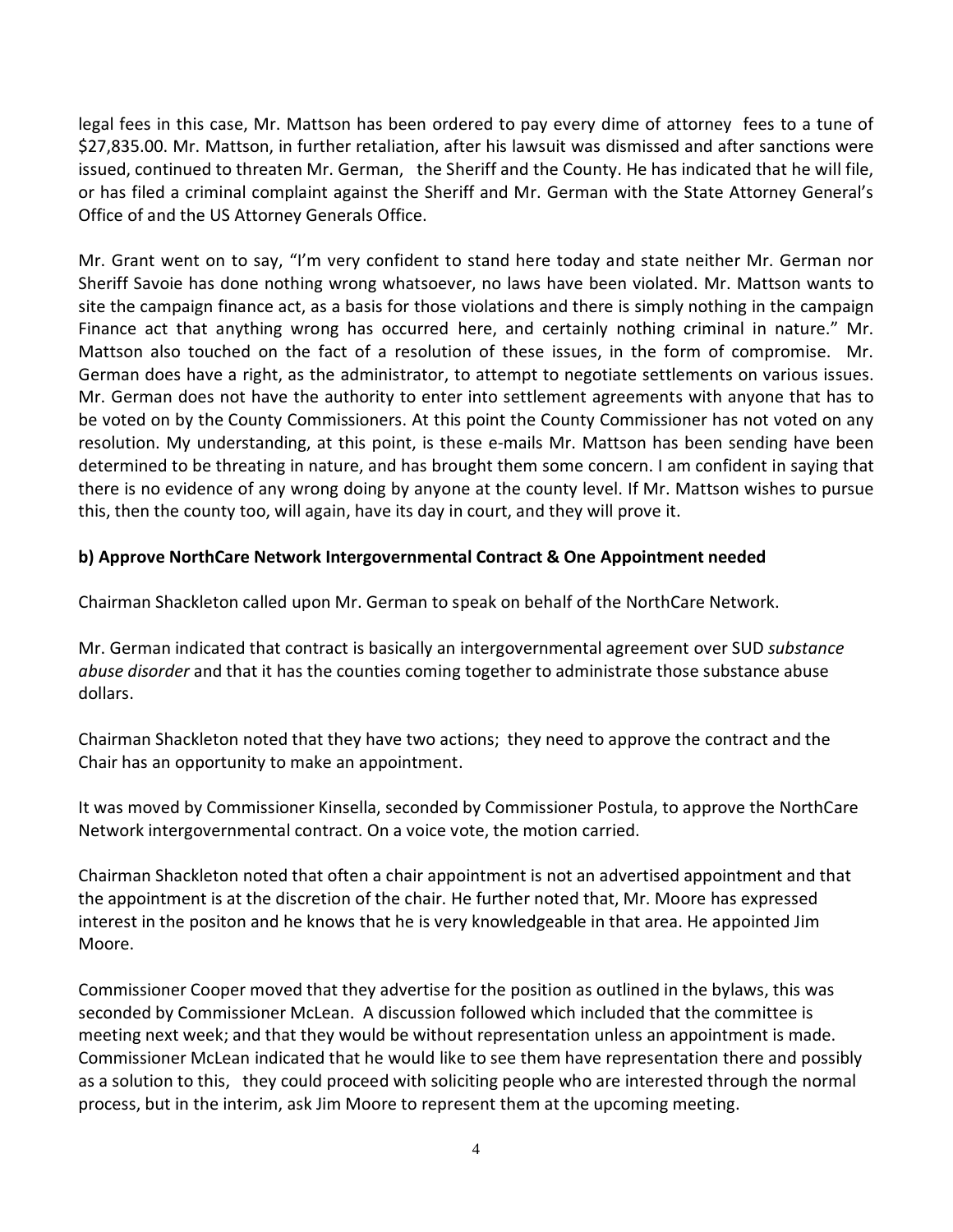legal fees in this case, Mr. Mattson has been ordered to pay every dime of attorney fees to a tune of \$27,835.00. Mr. Mattson, in further retaliation, after his lawsuit was dismissed and after sanctions were issued, continued to threaten Mr. German, the Sheriff and the County. He has indicated that he will file, or has filed a criminal complaint against the Sheriff and Mr. German with the State Attorney General's Office of and the US Attorney Generals Office.

Mr. Grant went on to say, "I'm very confident to stand here today and state neither Mr. German nor Sheriff Savoie has done nothing wrong whatsoever, no laws have been violated. Mr. Mattson wants to site the campaign finance act, as a basis for those violations and there is simply nothing in the campaign Finance act that anything wrong has occurred here, and certainly nothing criminal in nature." Mr. Mattson also touched on the fact of a resolution of these issues, in the form of compromise. Mr. German does have a right, as the administrator, to attempt to negotiate settlements on various issues. Mr. German does not have the authority to enter into settlement agreements with anyone that has to be voted on by the County Commissioners. At this point the County Commissioner has not voted on any resolution. My understanding, at this point, is these e-mails Mr. Mattson has been sending have been determined to be threating in nature, and has brought them some concern. I am confident in saying that there is no evidence of any wrong doing by anyone at the county level. If Mr. Mattson wishes to pursue this, then the county too, will again, have its day in court, and they will prove it.

## **b) Approve NorthCare Network Intergovernmental Contract & One Appointment needed**

Chairman Shackleton called upon Mr. German to speak on behalf of the NorthCare Network.

Mr. German indicated that contract is basically an intergovernmental agreement over SUD *substance abuse disorder* and that it has the counties coming together to administrate those substance abuse dollars.

Chairman Shackleton noted that they have two actions; they need to approve the contract and the Chair has an opportunity to make an appointment.

It was moved by Commissioner Kinsella, seconded by Commissioner Postula, to approve the NorthCare Network intergovernmental contract. On a voice vote, the motion carried.

Chairman Shackleton noted that often a chair appointment is not an advertised appointment and that the appointment is at the discretion of the chair. He further noted that, Mr. Moore has expressed interest in the positon and he knows that he is very knowledgeable in that area. He appointed Jim Moore.

Commissioner Cooper moved that they advertise for the position as outlined in the bylaws, this was seconded by Commissioner McLean. A discussion followed which included that the committee is meeting next week; and that they would be without representation unless an appointment is made. Commissioner McLean indicated that he would like to see them have representation there and possibly as a solution to this, they could proceed with soliciting people who are interested through the normal process, but in the interim, ask Jim Moore to represent them at the upcoming meeting.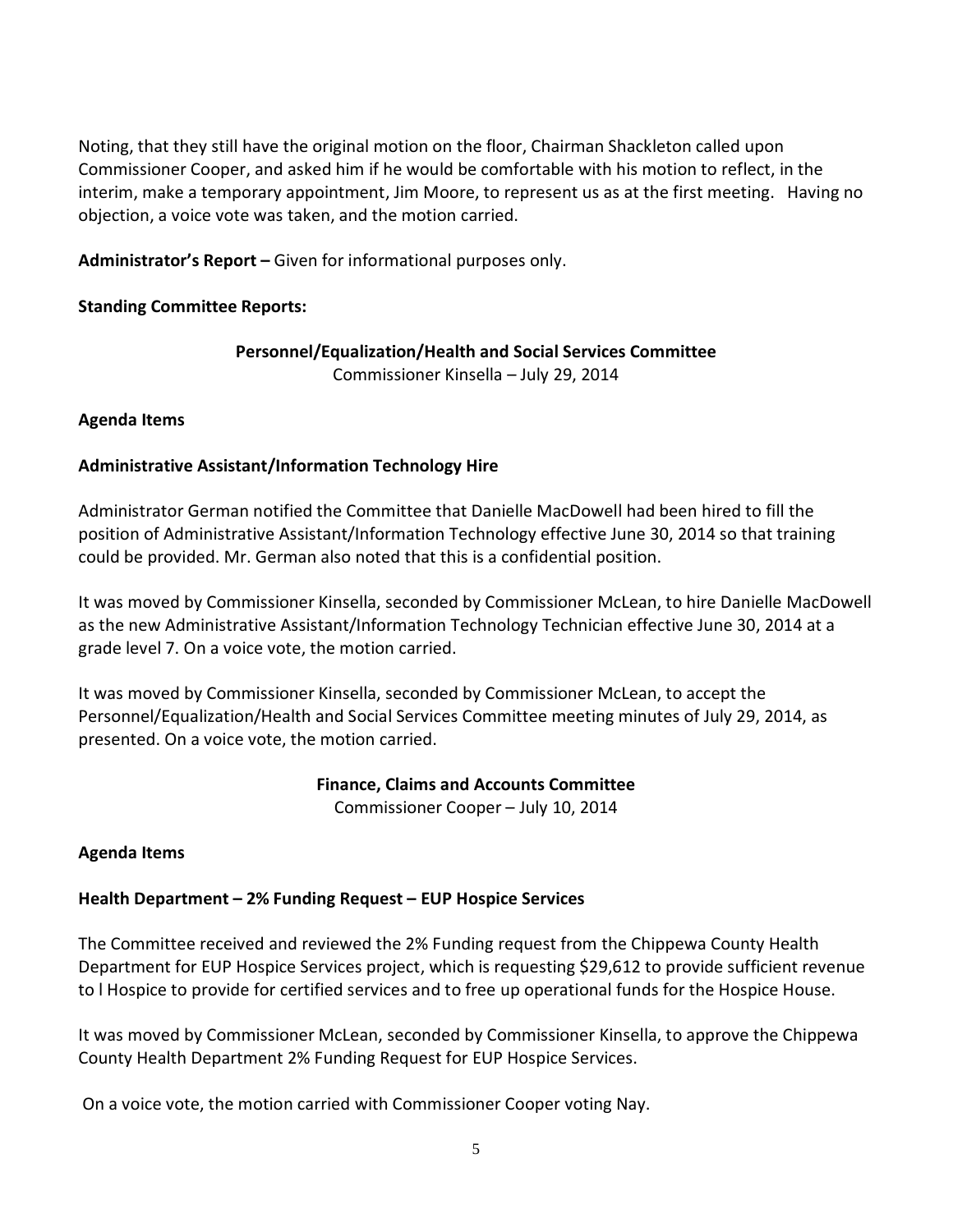Noting, that they still have the original motion on the floor, Chairman Shackleton called upon Commissioner Cooper, and asked him if he would be comfortable with his motion to reflect, in the interim, make a temporary appointment, Jim Moore, to represent us as at the first meeting. Having no objection, a voice vote was taken, and the motion carried.

**Administrator's Report –** Given for informational purposes only.

## **Standing Committee Reports:**

#### **Personnel/Equalization/Health and Social Services Committee** Commissioner Kinsella – July 29, 2014

#### **Agenda Items**

#### **Administrative Assistant/Information Technology Hire**

Administrator German notified the Committee that Danielle MacDowell had been hired to fill the position of Administrative Assistant/Information Technology effective June 30, 2014 so that training could be provided. Mr. German also noted that this is a confidential position.

It was moved by Commissioner Kinsella, seconded by Commissioner McLean, to hire Danielle MacDowell as the new Administrative Assistant/Information Technology Technician effective June 30, 2014 at a grade level 7. On a voice vote, the motion carried.

It was moved by Commissioner Kinsella, seconded by Commissioner McLean, to accept the Personnel/Equalization/Health and Social Services Committee meeting minutes of July 29, 2014, as presented. On a voice vote, the motion carried.

#### **Finance, Claims and Accounts Committee**

Commissioner Cooper – July 10, 2014

## **Agenda Items**

## **Health Department – 2% Funding Request – EUP Hospice Services**

The Committee received and reviewed the 2% Funding request from the Chippewa County Health Department for EUP Hospice Services project, which is requesting \$29,612 to provide sufficient revenue to l Hospice to provide for certified services and to free up operational funds for the Hospice House.

It was moved by Commissioner McLean, seconded by Commissioner Kinsella, to approve the Chippewa County Health Department 2% Funding Request for EUP Hospice Services.

On a voice vote, the motion carried with Commissioner Cooper voting Nay.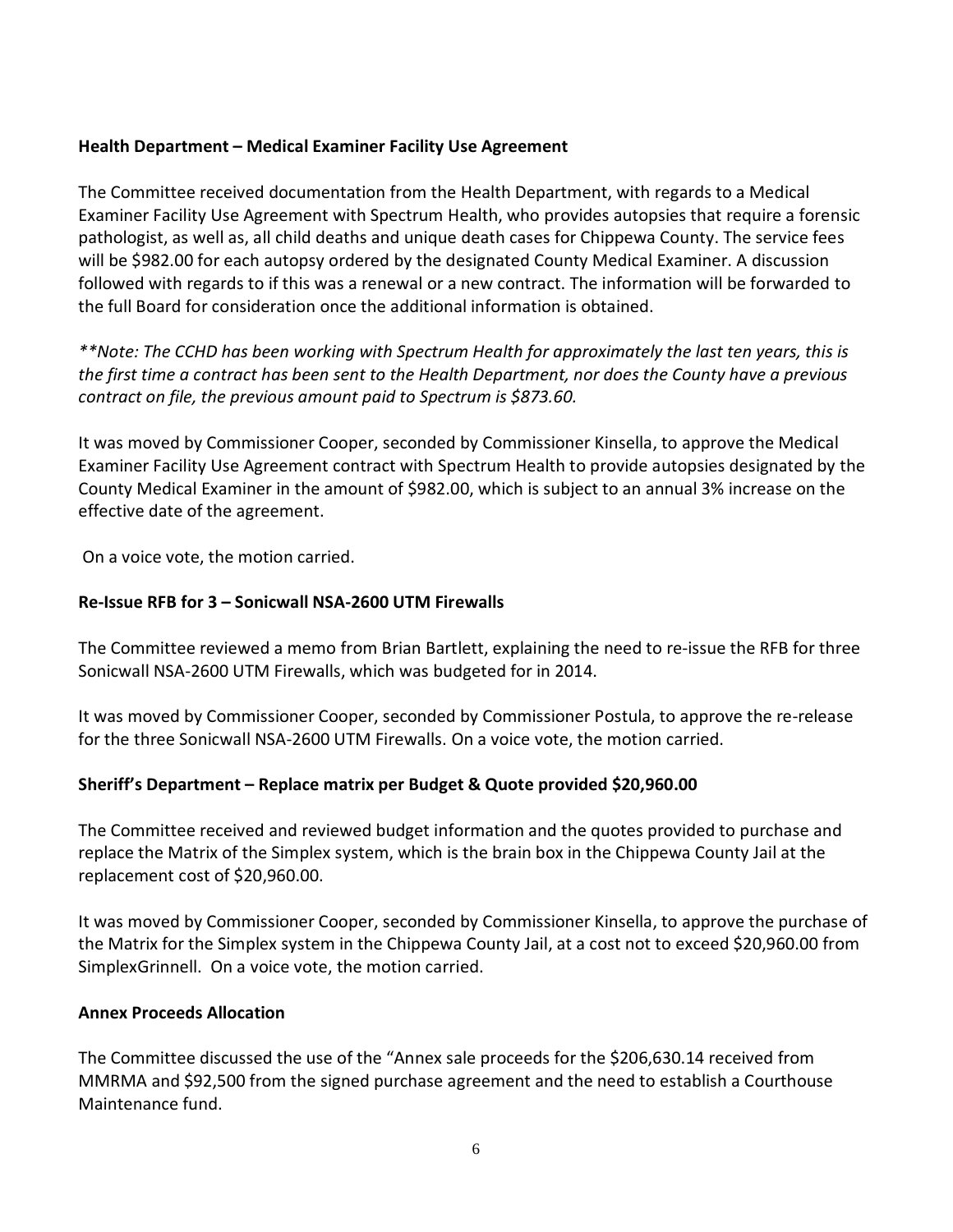#### **Health Department – Medical Examiner Facility Use Agreement**

The Committee received documentation from the Health Department, with regards to a Medical Examiner Facility Use Agreement with Spectrum Health, who provides autopsies that require a forensic pathologist, as well as, all child deaths and unique death cases for Chippewa County. The service fees will be \$982.00 for each autopsy ordered by the designated County Medical Examiner. A discussion followed with regards to if this was a renewal or a new contract. The information will be forwarded to the full Board for consideration once the additional information is obtained.

*\*\*Note: The CCHD has been working with Spectrum Health for approximately the last ten years, this is the first time a contract has been sent to the Health Department, nor does the County have a previous contract on file, the previous amount paid to Spectrum is \$873.60.*

It was moved by Commissioner Cooper, seconded by Commissioner Kinsella, to approve the Medical Examiner Facility Use Agreement contract with Spectrum Health to provide autopsies designated by the County Medical Examiner in the amount of \$982.00, which is subject to an annual 3% increase on the effective date of the agreement.

On a voice vote, the motion carried.

## **Re-Issue RFB for 3 – Sonicwall NSA-2600 UTM Firewalls**

The Committee reviewed a memo from Brian Bartlett, explaining the need to re-issue the RFB for three Sonicwall NSA-2600 UTM Firewalls, which was budgeted for in 2014.

It was moved by Commissioner Cooper, seconded by Commissioner Postula, to approve the re-release for the three Sonicwall NSA-2600 UTM Firewalls. On a voice vote, the motion carried.

## **Sheriff's Department – Replace matrix per Budget & Quote provided \$20,960.00**

The Committee received and reviewed budget information and the quotes provided to purchase and replace the Matrix of the Simplex system, which is the brain box in the Chippewa County Jail at the replacement cost of \$20,960.00.

It was moved by Commissioner Cooper, seconded by Commissioner Kinsella, to approve the purchase of the Matrix for the Simplex system in the Chippewa County Jail, at a cost not to exceed \$20,960.00 from SimplexGrinnell. On a voice vote, the motion carried.

#### **Annex Proceeds Allocation**

The Committee discussed the use of the "Annex sale proceeds for the \$206,630.14 received from MMRMA and \$92,500 from the signed purchase agreement and the need to establish a Courthouse Maintenance fund.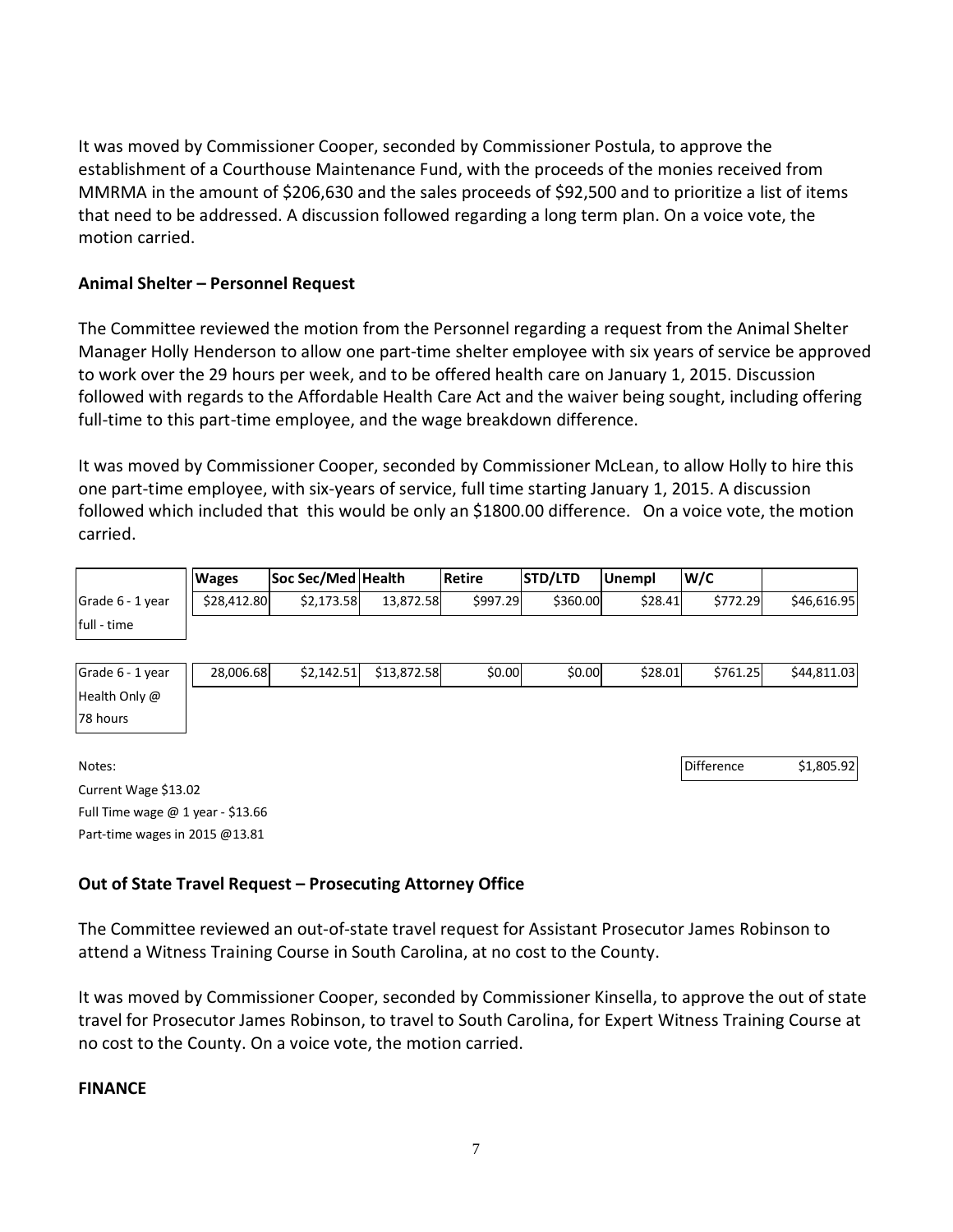It was moved by Commissioner Cooper, seconded by Commissioner Postula, to approve the establishment of a Courthouse Maintenance Fund, with the proceeds of the monies received from MMRMA in the amount of \$206,630 and the sales proceeds of \$92,500 and to prioritize a list of items that need to be addressed. A discussion followed regarding a long term plan. On a voice vote, the motion carried.

## **Animal Shelter – Personnel Request**

The Committee reviewed the motion from the Personnel regarding a request from the Animal Shelter Manager Holly Henderson to allow one part-time shelter employee with six years of service be approved to work over the 29 hours per week, and to be offered health care on January 1, 2015. Discussion followed with regards to the Affordable Health Care Act and the waiver being sought, including offering full-time to this part-time employee, and the wage breakdown difference.

It was moved by Commissioner Cooper, seconded by Commissioner McLean, to allow Holly to hire this one part-time employee, with six-years of service, full time starting January 1, 2015. A discussion followed which included that this would be only an \$1800.00 difference. On a voice vote, the motion carried.

|                  | <b>Wages</b> | Soc Sec/Med Health |           | Retire   | <b>STD/LTD</b> | <b>Unempl</b> | W/C      |             |
|------------------|--------------|--------------------|-----------|----------|----------------|---------------|----------|-------------|
| Grade 6 - 1 year | \$28,412.80  | \$2,173.58         | 13,872.58 | \$997.29 | \$360.00       | \$28.41       | \$772.29 | \$46,616.95 |
| full - time      |              |                    |           |          |                |               |          |             |

| Grade 6 - 1 year | 28,006.68 | \$2,142.51 | \$13,872.58 | \$0.00 | \$0.00 | \$28.01 | \$761.25 | \$44,811.03 |
|------------------|-----------|------------|-------------|--------|--------|---------|----------|-------------|
| Health Only @    |           |            |             |        |        |         |          |             |
| 78 hours         |           |            |             |        |        |         |          |             |

Notes: Difference \$1,805.92

Current Wage \$13.02 Full Time wage @ 1 year - \$13.66 Part-time wages in 2015 @13.81

## **Out of State Travel Request – Prosecuting Attorney Office**

The Committee reviewed an out-of-state travel request for Assistant Prosecutor James Robinson to attend a Witness Training Course in South Carolina, at no cost to the County.

It was moved by Commissioner Cooper, seconded by Commissioner Kinsella, to approve the out of state travel for Prosecutor James Robinson, to travel to South Carolina, for Expert Witness Training Course at no cost to the County. On a voice vote, the motion carried.

#### **FINANCE**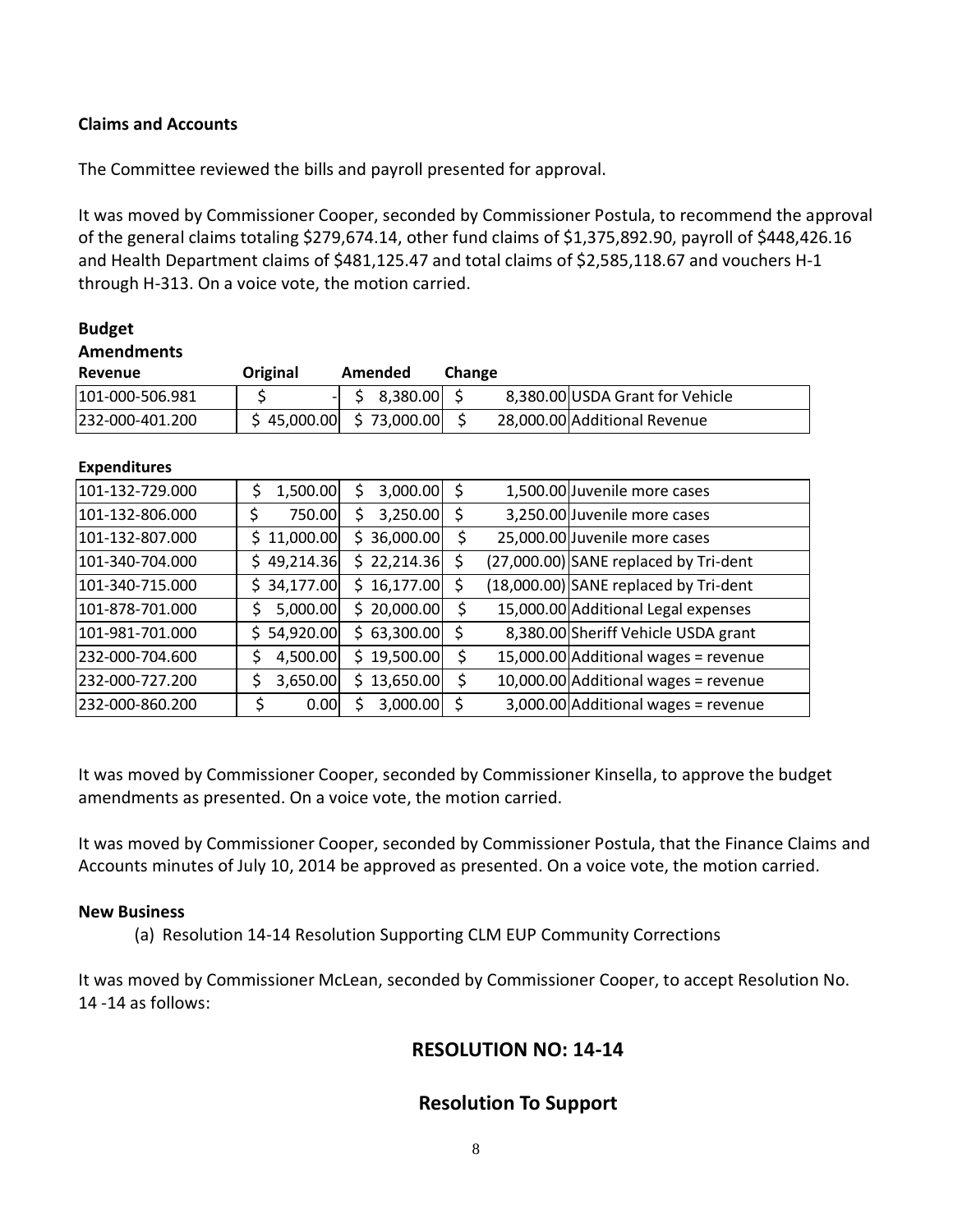#### **Claims and Accounts**

The Committee reviewed the bills and payroll presented for approval.

It was moved by Commissioner Cooper, seconded by Commissioner Postula, to recommend the approval of the general claims totaling \$279,674.14, other fund claims of \$1,375,892.90, payroll of \$448,426.16 and Health Department claims of \$481,125.47 and total claims of \$2,585,118.67 and vouchers H-1 through H-313. On a voice vote, the motion carried.

| <b>Budget</b>       |                 |                 |        |                                       |
|---------------------|-----------------|-----------------|--------|---------------------------------------|
| <b>Amendments</b>   |                 |                 |        |                                       |
| Revenue             | Original        | Amended         | Change |                                       |
| 101-000-506.981     | \$              | 8,380.00<br>\$  | \$     | 8,380.00 USDA Grant for Vehicle       |
| 232-000-401.200     | \$45,000.00     | \$73,000.00]    | \$     | 28,000.00 Additional Revenue          |
|                     |                 |                 |        |                                       |
| <b>Expenditures</b> |                 |                 |        |                                       |
| 101-132-729.000     | 1,500.00<br>\$  | \$<br>3,000.00  | \$     | 1,500.00 Juvenile more cases          |
| 101-132-806.000     | \$<br>750.00    | \$<br>3,250.00  | \$     | 3,250.00 Juvenile more cases          |
| 101-132-807.000     | 11,000.00<br>S. | \$36,000.00     | \$     | 25,000.00 Juvenile more cases         |
| 101-340-704.000     | 49,214.36<br>Ś. | \$22,214.36     | \$     | (27,000.00) SANE replaced by Tri-dent |
| 101-340-715.000     | 34,177.00<br>S. | \$16,177.00     | \$     | (18,000.00) SANE replaced by Tri-dent |
| 101-878-701.000     | \$<br>5,000.00  | \$20,000.00]    | \$     | 15,000.00 Additional Legal expenses   |
| 101-981-701.000     | 54,920.00<br>S. | \$63,300.00     | \$     | 8,380.00 Sheriff Vehicle USDA grant   |
| 232-000-704.600     | \$<br>4,500.00  | 19,500.00<br>Ś. | \$     | 15,000.00 Additional wages = revenue  |
| 232-000-727.200     | \$<br>3,650.00  | \$13,650.00     | \$     | 10,000.00 Additional wages = revenue  |
| 232-000-860.200     | \$<br>0.00      | 3,000.00        | \$     | 3,000.00 Additional wages = revenue   |

It was moved by Commissioner Cooper, seconded by Commissioner Kinsella, to approve the budget amendments as presented. On a voice vote, the motion carried.

It was moved by Commissioner Cooper, seconded by Commissioner Postula, that the Finance Claims and Accounts minutes of July 10, 2014 be approved as presented. On a voice vote, the motion carried.

#### **New Business**

(a) Resolution 14-14 Resolution Supporting CLM EUP Community Corrections

It was moved by Commissioner McLean, seconded by Commissioner Cooper, to accept Resolution No. 14 -14 as follows:

## **RESOLUTION NO: 14-14**

## **Resolution To Support**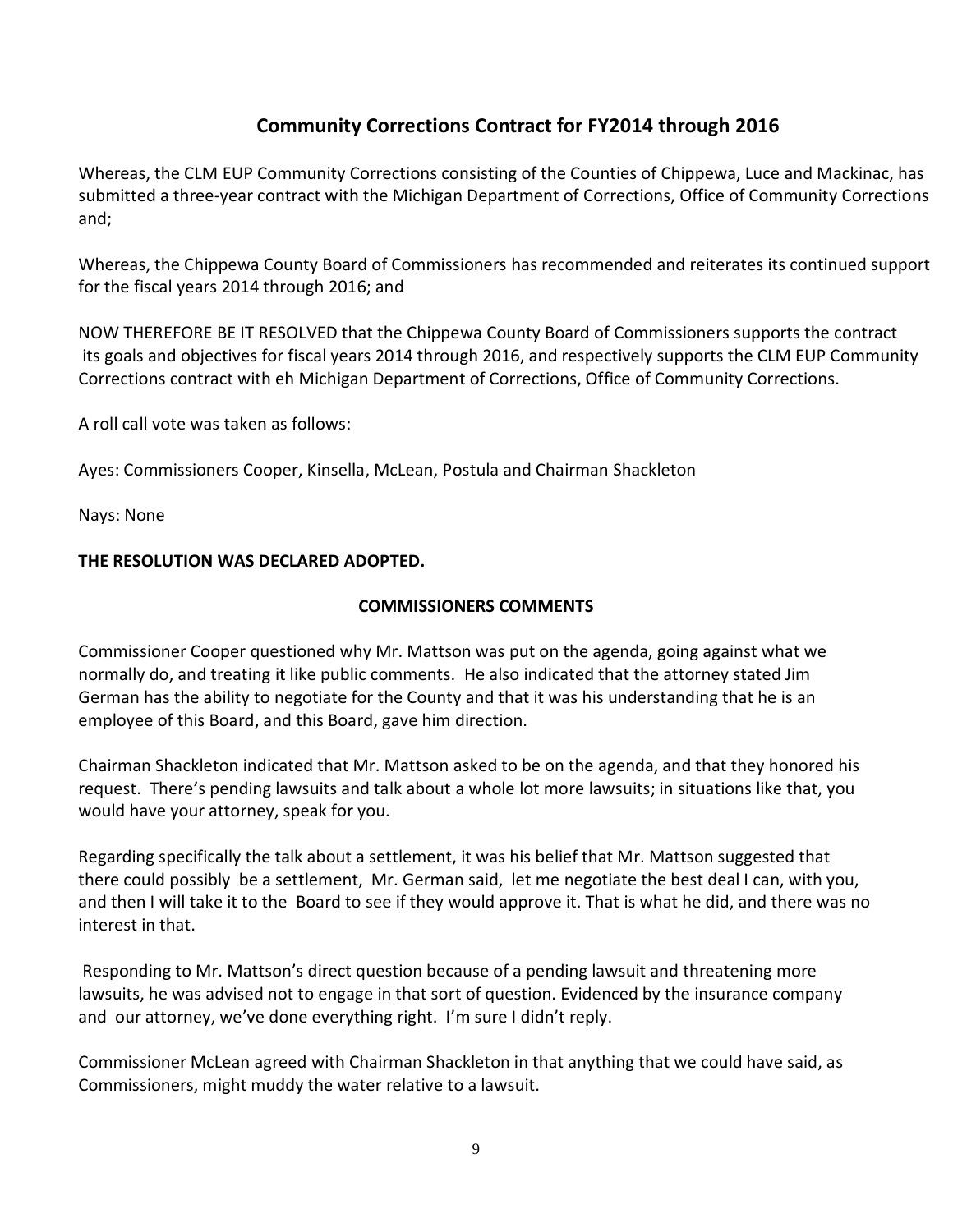# **Community Corrections Contract for FY2014 through 2016**

Whereas, the CLM EUP Community Corrections consisting of the Counties of Chippewa, Luce and Mackinac, has submitted a three-year contract with the Michigan Department of Corrections, Office of Community Corrections and;

Whereas, the Chippewa County Board of Commissioners has recommended and reiterates its continued support for the fiscal years 2014 through 2016; and

NOW THEREFORE BE IT RESOLVED that the Chippewa County Board of Commissioners supports the contract its goals and objectives for fiscal years 2014 through 2016, and respectively supports the CLM EUP Community Corrections contract with eh Michigan Department of Corrections, Office of Community Corrections.

A roll call vote was taken as follows:

Ayes: Commissioners Cooper, Kinsella, McLean, Postula and Chairman Shackleton

Nays: None

## **THE RESOLUTION WAS DECLARED ADOPTED.**

## **COMMISSIONERS COMMENTS**

Commissioner Cooper questioned why Mr. Mattson was put on the agenda, going against what we normally do, and treating it like public comments. He also indicated that the attorney stated Jim German has the ability to negotiate for the County and that it was his understanding that he is an employee of this Board, and this Board, gave him direction.

Chairman Shackleton indicated that Mr. Mattson asked to be on the agenda, and that they honored his request. There's pending lawsuits and talk about a whole lot more lawsuits; in situations like that, you would have your attorney, speak for you.

Regarding specifically the talk about a settlement, it was his belief that Mr. Mattson suggested that there could possibly be a settlement, Mr. German said, let me negotiate the best deal I can, with you, and then I will take it to the Board to see if they would approve it. That is what he did, and there was no interest in that.

Responding to Mr. Mattson's direct question because of a pending lawsuit and threatening more lawsuits, he was advised not to engage in that sort of question. Evidenced by the insurance company and our attorney, we've done everything right. I'm sure I didn't reply.

Commissioner McLean agreed with Chairman Shackleton in that anything that we could have said, as Commissioners, might muddy the water relative to a lawsuit.